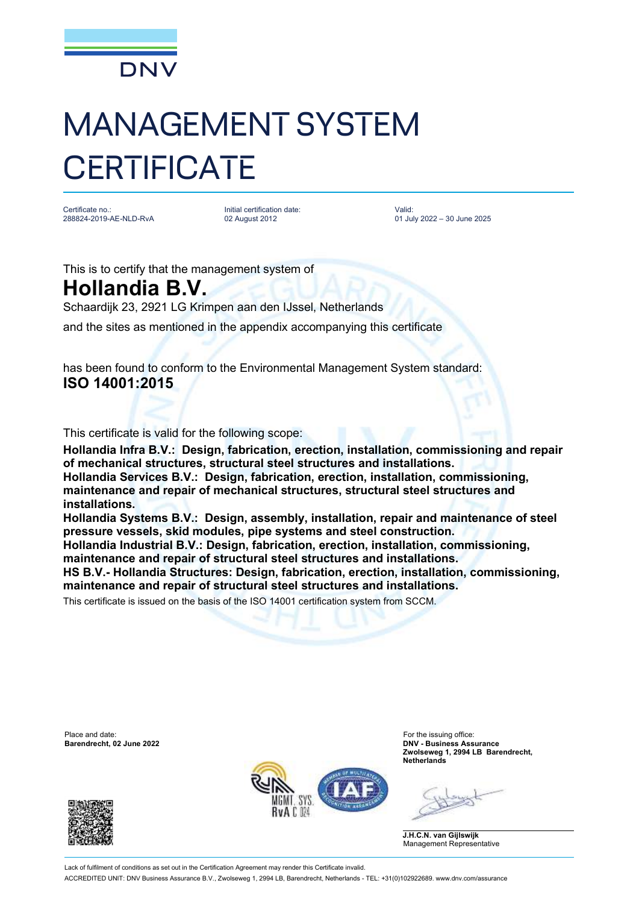

## MANAGEMENT SYSTEM **CERTIFICATE**

Certificate no.: 288824-2019-AE-NLD-RvA Initial certification date: 02 August 2012

Valid: 01 July 2022 – 30 June 2025

This is to certify that the management system of **Hollandia B.V.**

Schaardijk 23, 2921 LG Krimpen aan den IJssel, Netherlands and the sites as mentioned in the appendix accompanying this certificate

has been found to conform to the Environmental Management System standard:

## **ISO 14001:2015**

This certificate is valid for the following scope:

**Hollandia Infra B.V.: Design, fabrication, erection, installation, commissioning and repair of mechanical structures, structural steel structures and installations. Hollandia Services B.V.: Design, fabrication, erection, installation, commissioning, maintenance and repair of mechanical structures, structural steel structures and installations.** 

**Hollandia Systems B.V.: Design, assembly, installation, repair and maintenance of steel pressure vessels, skid modules, pipe systems and steel construction.** 

**Hollandia Industrial B.V.: Design, fabrication, erection, installation, commissioning, maintenance and repair of structural steel structures and installations.**

**HS B.V.- Hollandia Structures: Design, fabrication, erection, installation, commissioning, maintenance and repair of structural steel structures and installations.**

This certificate is issued on the basis of the ISO 14001 certification system from SCCM.

Place and date: For the issuing office:<br> **Barendrecht, 02 June 2022 Example 2022 Example 2022 Example 2022 Example 2022** 





**Barendrecht, 02 June 2022 DNV - Business Assurance Zwolseweg 1, 2994 LB Barendrecht, Netherlands**

**J.H.C.N. van Gijlswijk** Management Representative

Lack of fulfilment of conditions as set out in the Certification Agreement may render this Certificate invalid. ACCREDITED UNIT: DNV Business Assurance B.V., Zwolseweg 1, 2994 LB, Barendrecht, Netherlands - TEL: +31(0)102922689. www.dnv.com/assurance